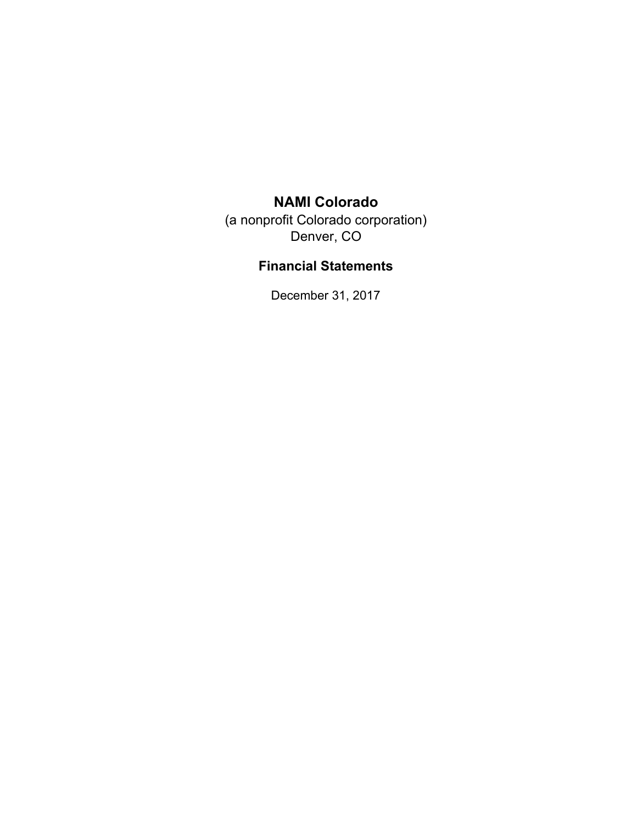(a nonprofit Colorado corporation) Denver, CO

# **Financial Statements**

December 31, 2017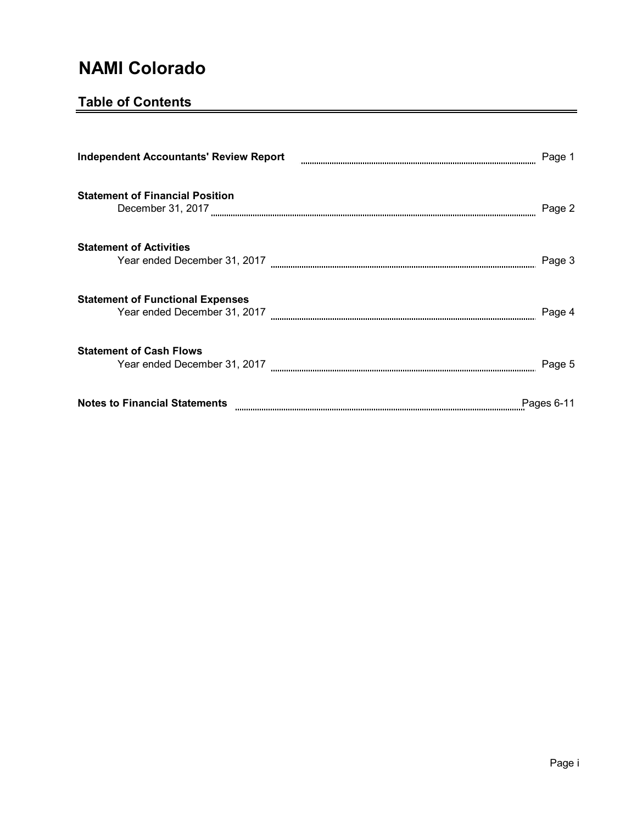# **Table of Contents**

| <b>Independent Accountants' Review Report</b>                           | Page 1     |
|-------------------------------------------------------------------------|------------|
| <b>Statement of Financial Position</b><br>December 31, 2017             | Page 2     |
| <b>Statement of Activities</b><br>Year ended December 31, 2017          | Page 3     |
| <b>Statement of Functional Expenses</b><br>Year ended December 31, 2017 | Page 4     |
| <b>Statement of Cash Flows</b><br>Year ended December 31, 2017          | Page 5     |
| <b>Notes to Financial Statements</b>                                    | Pages 6-11 |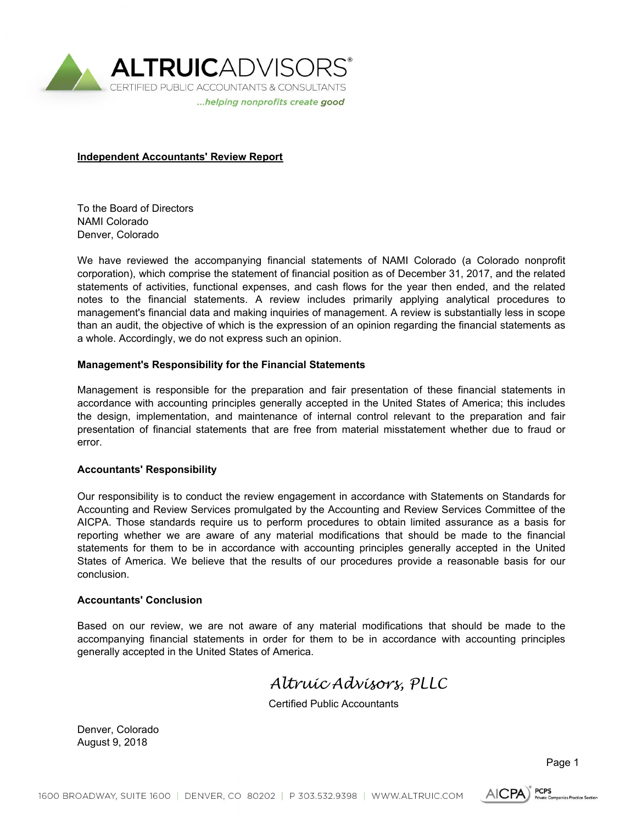

### **Independent Accountants' Review Report**

To the Board of Directors NAMI Colorado Denver, Colorado

We have reviewed the accompanying financial statements of NAMI Colorado (a Colorado nonprofit corporation), which comprise the statement of financial position as of December 31, 2017, and the related statements of activities, functional expenses, and cash flows for the year then ended, and the related notes to the financial statements. A review includes primarily applying analytical procedures to management's financial data and making inquiries of management. A review is substantially less in scope than an audit, the objective of which is the expression of an opinion regarding the financial statements as a whole. Accordingly, we do not express such an opinion.

#### **Management's Responsibility for the Financial Statements**

Management is responsible for the preparation and fair presentation of these financial statements in accordance with accounting principles generally accepted in the United States of America; this includes the design, implementation, and maintenance of internal control relevant to the preparation and fair presentation of financial statements that are free from material misstatement whether due to fraud or error.

#### **Accountants' Responsibility**

Our responsibility is to conduct the review engagement in accordance with Statements on Standards for Accounting and Review Services promulgated by the Accounting and Review Services Committee of the AICPA. Those standards require us to perform procedures to obtain limited assurance as a basis for reporting whether we are aware of any material modifications that should be made to the financial statements for them to be in accordance with accounting principles generally accepted in the United States of America. We believe that the results of our procedures provide a reasonable basis for our conclusion.

### **Accountants' Conclusion**

Based on our review, we are not aware of any material modifications that should be made to the accompanying financial statements in order for them to be in accordance with accounting principles generally accepted in the United States of America.

*Altruic Advisors, PLLC*

Certified Public Accountants

Denver, Colorado August 9, 2018

Page 1

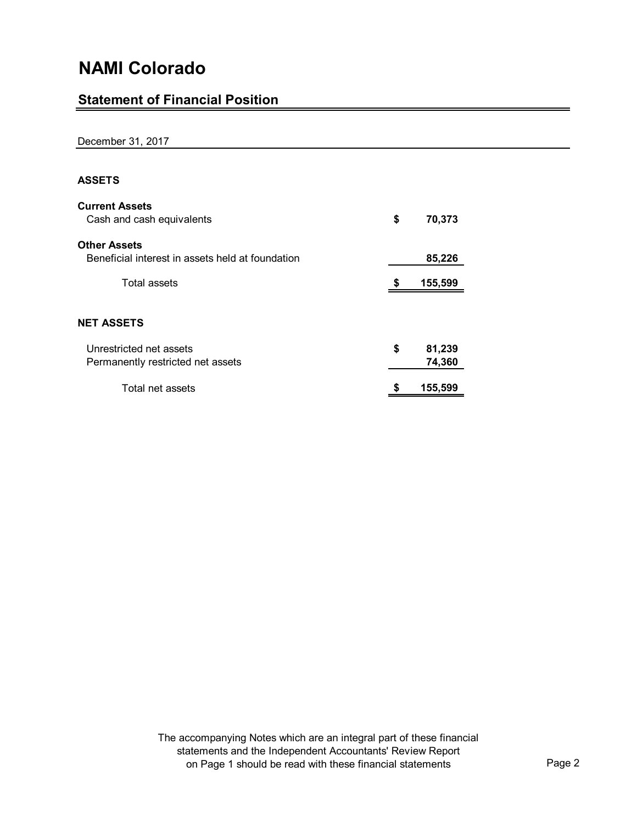# **Statement of Financial Position**

December 31, 2017

### **ASSETS**

| <b>Current Assets</b><br>Cash and cash equivalents                      | \$<br>70,373           |
|-------------------------------------------------------------------------|------------------------|
| <b>Other Assets</b><br>Beneficial interest in assets held at foundation | 85,226                 |
| Total assets                                                            | 155,599                |
| <b>NET ASSETS</b>                                                       |                        |
| Unrestricted net assets<br>Permanently restricted net assets            | \$<br>81,239<br>74,360 |
| Total net assets                                                        | \$<br>155,599          |

The accompanying Notes which are an integral part of these financial statements and the Independent Accountants' Review Report on Page 1 should be read with these financial statements Page 2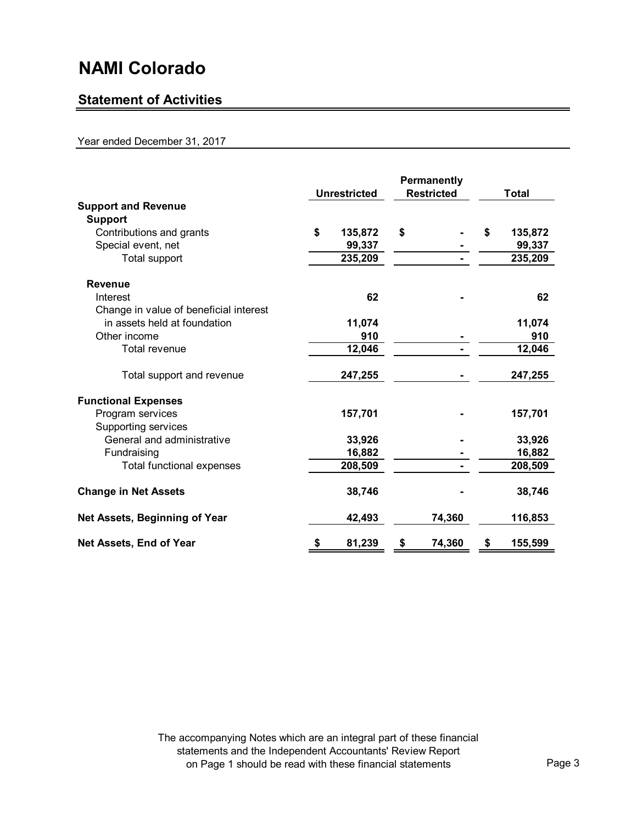## **Statement of Activities**

Year ended December 31, 2017

|                                        | <b>Unrestricted</b> |         | Permanently<br><b>Restricted</b> |        | <b>Total</b> |         |
|----------------------------------------|---------------------|---------|----------------------------------|--------|--------------|---------|
| <b>Support and Revenue</b>             |                     |         |                                  |        |              |         |
| <b>Support</b>                         |                     |         |                                  |        |              |         |
| Contributions and grants               | \$                  | 135,872 | \$                               |        | \$           | 135,872 |
| Special event, net                     |                     | 99,337  |                                  |        |              | 99,337  |
| Total support                          |                     | 235,209 |                                  |        |              | 235,209 |
| <b>Revenue</b>                         |                     |         |                                  |        |              |         |
| Interest                               |                     | 62      |                                  |        |              | 62      |
| Change in value of beneficial interest |                     |         |                                  |        |              |         |
| in assets held at foundation           |                     | 11,074  |                                  |        |              | 11,074  |
| Other income                           |                     | 910     |                                  |        |              | 910     |
| Total revenue                          |                     | 12,046  |                                  |        |              | 12,046  |
| Total support and revenue              |                     | 247,255 |                                  |        |              | 247,255 |
| <b>Functional Expenses</b>             |                     |         |                                  |        |              |         |
| Program services                       |                     | 157,701 |                                  |        |              | 157,701 |
| Supporting services                    |                     |         |                                  |        |              |         |
| General and administrative             |                     | 33,926  |                                  |        |              | 33,926  |
| Fundraising                            |                     | 16,882  |                                  |        |              | 16,882  |
| <b>Total functional expenses</b>       |                     | 208,509 |                                  |        |              | 208,509 |
| <b>Change in Net Assets</b>            |                     | 38,746  |                                  |        |              | 38,746  |
| Net Assets, Beginning of Year          |                     | 42,493  |                                  | 74,360 |              | 116,853 |
| Net Assets, End of Year                | \$                  | 81,239  | \$                               | 74,360 | \$           | 155,599 |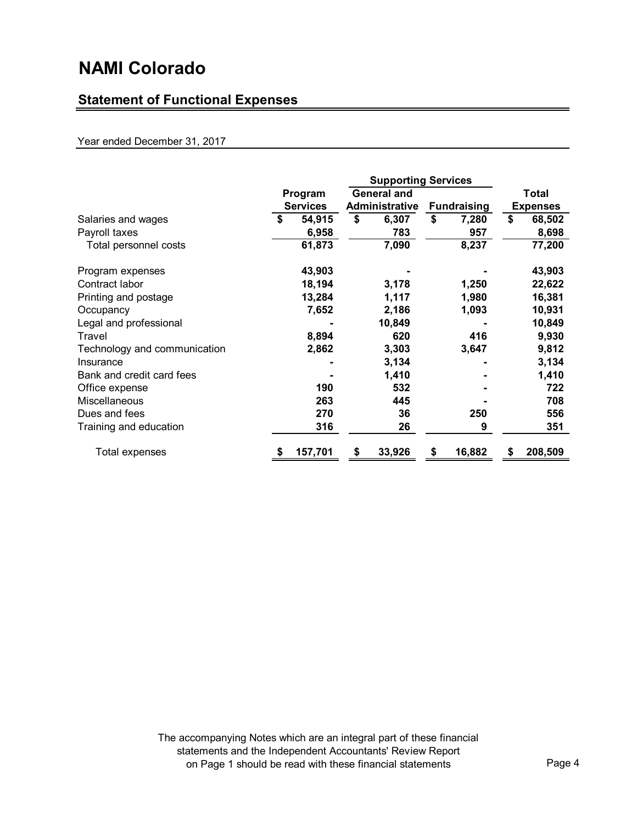# **Statement of Functional Expenses**

### Year ended December 31, 2017

|                              | <b>Supporting Services</b> |                 |                    |                |    |                    |       |                 |
|------------------------------|----------------------------|-----------------|--------------------|----------------|----|--------------------|-------|-----------------|
|                              | Program                    |                 | <b>General and</b> |                |    |                    | Total |                 |
|                              |                            | <b>Services</b> |                    | Administrative |    | <b>Fundraising</b> |       | <b>Expenses</b> |
| Salaries and wages           |                            | 54,915          | \$                 | 6,307          | \$ | 7,280              | \$    | 68,502          |
| Payroll taxes                |                            | 6,958           |                    | 783            |    | 957                |       | 8,698           |
| Total personnel costs        |                            | 61,873          |                    | 7,090          |    | 8,237              |       | 77,200          |
| Program expenses             |                            | 43,903          |                    |                |    |                    |       | 43,903          |
| Contract labor               |                            | 18,194          |                    | 3,178          |    | 1,250              |       | 22,622          |
| Printing and postage         |                            | 13,284          |                    | 1,117          |    | 1,980              |       | 16,381          |
| Occupancy                    |                            | 7,652           |                    | 2,186          |    | 1,093              |       | 10,931          |
| Legal and professional       |                            |                 |                    | 10,849         |    |                    |       | 10,849          |
| Travel                       |                            | 8,894           |                    | 620            |    | 416                |       | 9,930           |
| Technology and communication |                            | 2,862           |                    | 3,303          |    | 3,647              |       | 9,812           |
| Insurance                    |                            |                 |                    | 3,134          |    |                    |       | 3,134           |
| Bank and credit card fees    |                            |                 |                    | 1,410          |    |                    |       | 1,410           |
| Office expense               |                            | 190             |                    | 532            |    |                    |       | 722             |
| <b>Miscellaneous</b>         |                            | 263             |                    | 445            |    |                    |       | 708             |
| Dues and fees                |                            | 270             |                    | 36             |    | 250                |       | 556             |
| Training and education       |                            | 316             |                    | 26             |    | 9                  |       | 351             |
| Total expenses               |                            | 157,701         | \$                 | 33,926         | S  | 16,882             | S     | 208,509         |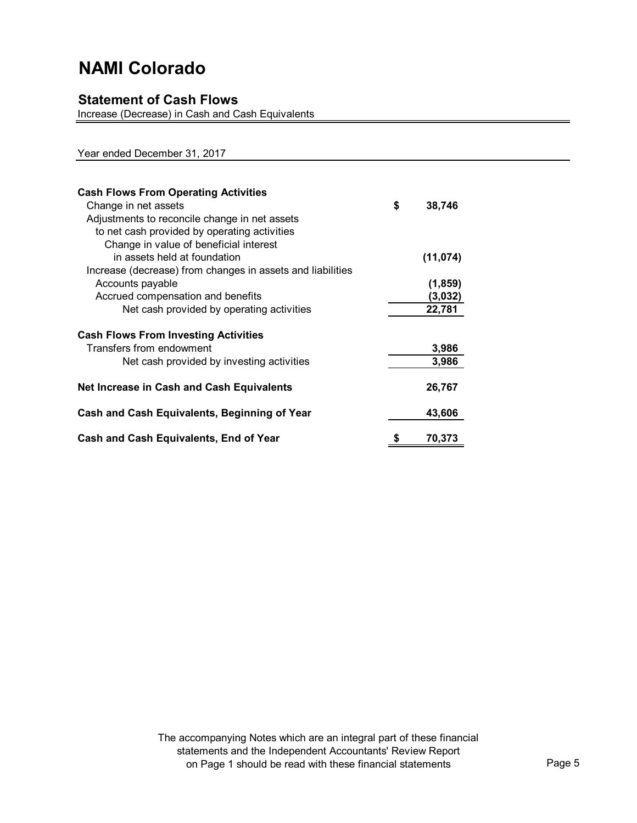## **Statement of Cash Flows**

Increase (Decrease) in Cash and Cash Equivalents

### Year ended December 31, 2017

| <b>Cash Flows From Operating Activities</b><br>Change in net assets                           | \$ | 38,746         |
|-----------------------------------------------------------------------------------------------|----|----------------|
| Adjustments to reconcile change in net assets<br>to net cash provided by operating activities |    |                |
| Change in value of beneficial interest                                                        |    |                |
| in assets held at foundation                                                                  |    | (11, 074)      |
| Increase (decrease) from changes in assets and liabilities                                    |    |                |
| Accounts payable                                                                              |    | (1, 859)       |
| Accrued compensation and benefits                                                             |    | (3,032)        |
| Net cash provided by operating activities                                                     |    | 22,781         |
|                                                                                               |    |                |
| <b>Cash Flows From Investing Activities</b><br>Transfers from endowment                       |    |                |
| Net cash provided by investing activities                                                     |    | 3,986<br>3,986 |
|                                                                                               |    |                |
| Net Increase in Cash and Cash Equivalents                                                     |    | 26,767         |
| Cash and Cash Equivalents, Beginning of Year                                                  |    | 43,606         |
| Cash and Cash Equivalents, End of Year                                                        | S  | 70,373         |

The accompanying Notes which are an integral part of these financial statements and the Independent Accountants' Review Report on Page 1 should be read with these financial statements **Page 5**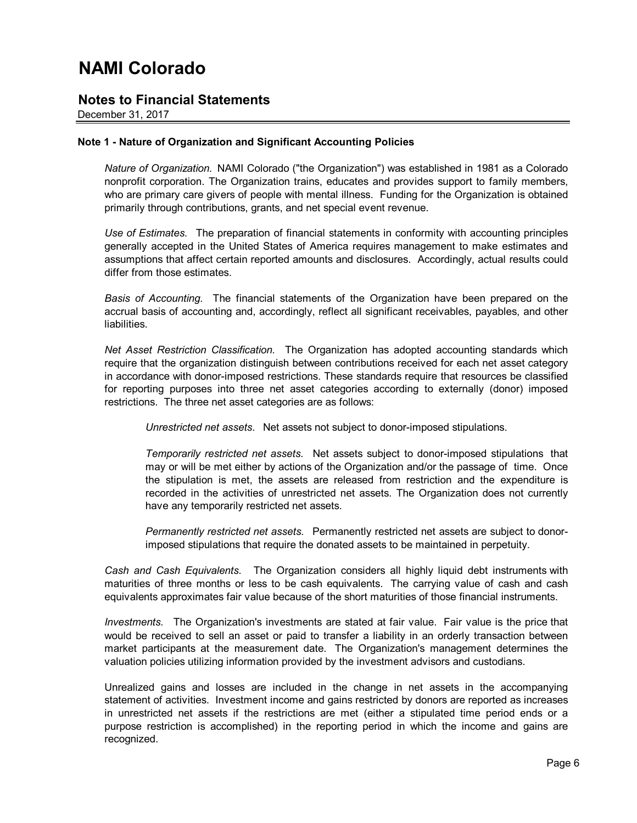## **Notes to Financial Statements**

December 31, 2017

#### **Note 1 - Nature of Organization and Significant Accounting Policies**

*Nature of Organization.* NAMI Colorado ("the Organization") was established in 1981 as a Colorado nonprofit corporation. The Organization trains, educates and provides support to family members, who are primary care givers of people with mental illness. Funding for the Organization is obtained primarily through contributions, grants, and net special event revenue.

*Use of Estimates.* The preparation of financial statements in conformity with accounting principles generally accepted in the United States of America requires management to make estimates and assumptions that affect certain reported amounts and disclosures. Accordingly, actual results could differ from those estimates.

*Basis of Accounting.* The financial statements of the Organization have been prepared on the accrual basis of accounting and, accordingly, reflect all significant receivables, payables, and other liabilities.

*Net Asset Restriction Classification.* The Organization has adopted accounting standards which require that the organization distinguish between contributions received for each net asset category in accordance with donor-imposed restrictions. These standards require that resources be classified for reporting purposes into three net asset categories according to externally (donor) imposed restrictions. The three net asset categories are as follows:

*Unrestricted net assets.* Net assets not subject to donor-imposed stipulations.

*Temporarily restricted net assets.* Net assets subject to donor-imposed stipulations that may or will be met either by actions of the Organization and/or the passage of time. Once the stipulation is met, the assets are released from restriction and the expenditure is recorded in the activities of unrestricted net assets. The Organization does not currently have any temporarily restricted net assets.

*Permanently restricted net assets.* Permanently restricted net assets are subject to donorimposed stipulations that require the donated assets to be maintained in perpetuity.

*Cash and Cash Equivalents.* The Organization considers all highly liquid debt instruments with maturities of three months or less to be cash equivalents. The carrying value of cash and cash equivalents approximates fair value because of the short maturities of those financial instruments.

*Investments.* The Organization's investments are stated at fair value. Fair value is the price that would be received to sell an asset or paid to transfer a liability in an orderly transaction between market participants at the measurement date. The Organization's management determines the valuation policies utilizing information provided by the investment advisors and custodians.

Unrealized gains and losses are included in the change in net assets in the accompanying statement of activities. Investment income and gains restricted by donors are reported as increases in unrestricted net assets if the restrictions are met (either a stipulated time period ends or a purpose restriction is accomplished) in the reporting period in which the income and gains are recognized.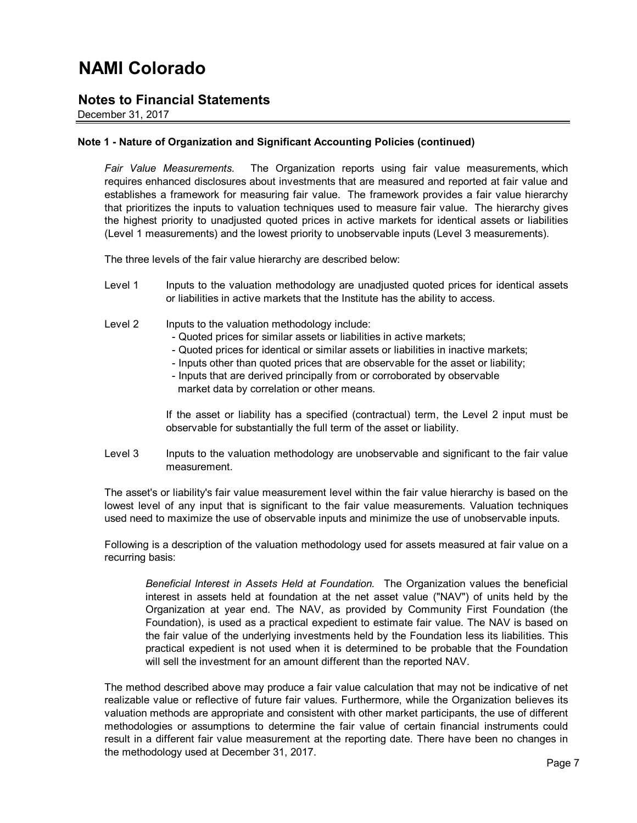## **Notes to Financial Statements**

December 31, 2017

### **Note 1 - Nature of Organization and Significant Accounting Policies (continued)**

*Fair Value Measurements.* The Organization reports using fair value measurements, which requires enhanced disclosures about investments that are measured and reported at fair value and establishes a framework for measuring fair value. The framework provides a fair value hierarchy that prioritizes the inputs to valuation techniques used to measure fair value. The hierarchy gives the highest priority to unadjusted quoted prices in active markets for identical assets or liabilities (Level 1 measurements) and the lowest priority to unobservable inputs (Level 3 measurements).

The three levels of the fair value hierarchy are described below:

- Level 1 Inputs to the valuation methodology are unadjusted quoted prices for identical assets or liabilities in active markets that the Institute has the ability to access.
- Level 2 Inputs to the valuation methodology include:
	- Quoted prices for similar assets or liabilities in active markets;
	- Quoted prices for identical or similar assets or liabilities in inactive markets;
	- Inputs other than quoted prices that are observable for the asset or liability;
	- market data by correlation or other means. - Inputs that are derived principally from or corroborated by observable

If the asset or liability has a specified (contractual) term, the Level 2 input must be observable for substantially the full term of the asset or liability.

Level 3 Inputs to the valuation methodology are unobservable and significant to the fair value measurement.

The asset's or liability's fair value measurement level within the fair value hierarchy is based on the lowest level of any input that is significant to the fair value measurements. Valuation techniques used need to maximize the use of observable inputs and minimize the use of unobservable inputs.

Following is a description of the valuation methodology used for assets measured at fair value on a recurring basis:

*Beneficial Interest in Assets Held at Foundation.* The Organization values the beneficial interest in assets held at foundation at the net asset value ("NAV") of units held by the Organization at year end. The NAV, as provided by Community First Foundation (the Foundation), is used as a practical expedient to estimate fair value. The NAV is based on the fair value of the underlying investments held by the Foundation less its liabilities. This practical expedient is not used when it is determined to be probable that the Foundation will sell the investment for an amount different than the reported NAV.

The method described above may produce a fair value calculation that may not be indicative of net realizable value or reflective of future fair values. Furthermore, while the Organization believes its valuation methods are appropriate and consistent with other market participants, the use of different methodologies or assumptions to determine the fair value of certain financial instruments could result in a different fair value measurement at the reporting date. There have been no changes in the methodology used at December 31, 2017.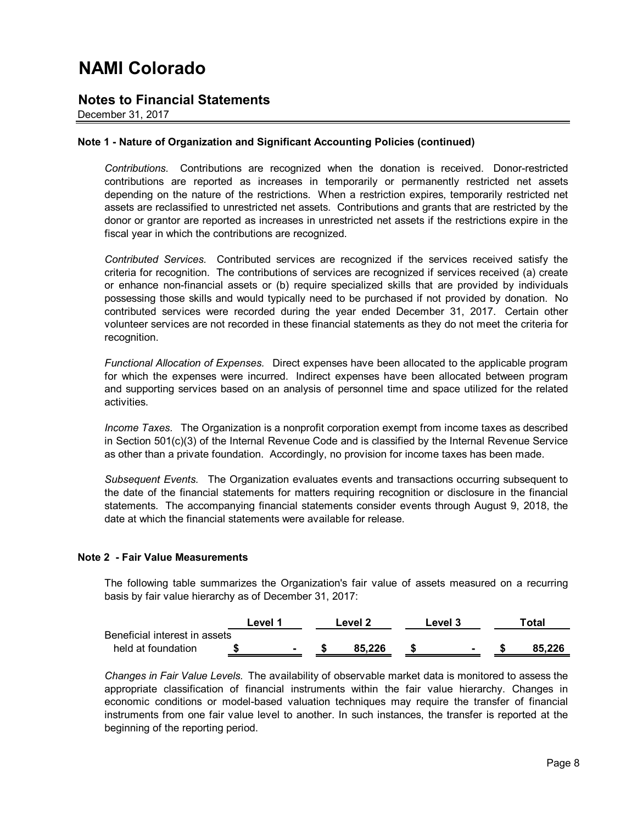## **Notes to Financial Statements**

December 31, 2017

### **Note 1 - Nature of Organization and Significant Accounting Policies (continued)**

*Contributions.* Contributions are recognized when the donation is received. Donor-restricted contributions are reported as increases in temporarily or permanently restricted net assets depending on the nature of the restrictions. When a restriction expires, temporarily restricted net assets are reclassified to unrestricted net assets. Contributions and grants that are restricted by the donor or grantor are reported as increases in unrestricted net assets if the restrictions expire in the fiscal year in which the contributions are recognized.

*Contributed Services.* Contributed services are recognized if the services received satisfy the criteria for recognition. The contributions of services are recognized if services received (a) create or enhance non-financial assets or (b) require specialized skills that are provided by individuals possessing those skills and would typically need to be purchased if not provided by donation. No contributed services were recorded during the year ended December 31, 2017. Certain other volunteer services are not recorded in these financial statements as they do not meet the criteria for recognition.

*Functional Allocation of Expenses.* Direct expenses have been allocated to the applicable program for which the expenses were incurred. Indirect expenses have been allocated between program and supporting services based on an analysis of personnel time and space utilized for the related activities.

*Income Taxes.* The Organization is a nonprofit corporation exempt from income taxes as described in Section 501(c)(3) of the Internal Revenue Code and is classified by the Internal Revenue Service as other than a private foundation. Accordingly, no provision for income taxes has been made.

*Subsequent Events.* The Organization evaluates events and transactions occurring subsequent to the date of the financial statements for matters requiring recognition or disclosure in the financial statements. The accompanying financial statements consider events through August 9, 2018, the date at which the financial statements were available for release.

#### **Note 2 - Fair Value Measurements**

The following table summarizes the Organization's fair value of assets measured on a recurring basis by fair value hierarchy as of December 31, 2017:

|                               | ∟evel 1 |   | Level 2 | Level 3 | ™otal  |
|-------------------------------|---------|---|---------|---------|--------|
| Beneficial interest in assets |         |   |         |         |        |
| held at foundation            |         | ۰ | 85,226  |         | 85.226 |

*Changes in Fair Value Levels.* The availability of observable market data is monitored to assess the appropriate classification of financial instruments within the fair value hierarchy. Changes in economic conditions or model-based valuation techniques may require the transfer of financial instruments from one fair value level to another. In such instances, the transfer is reported at the beginning of the reporting period.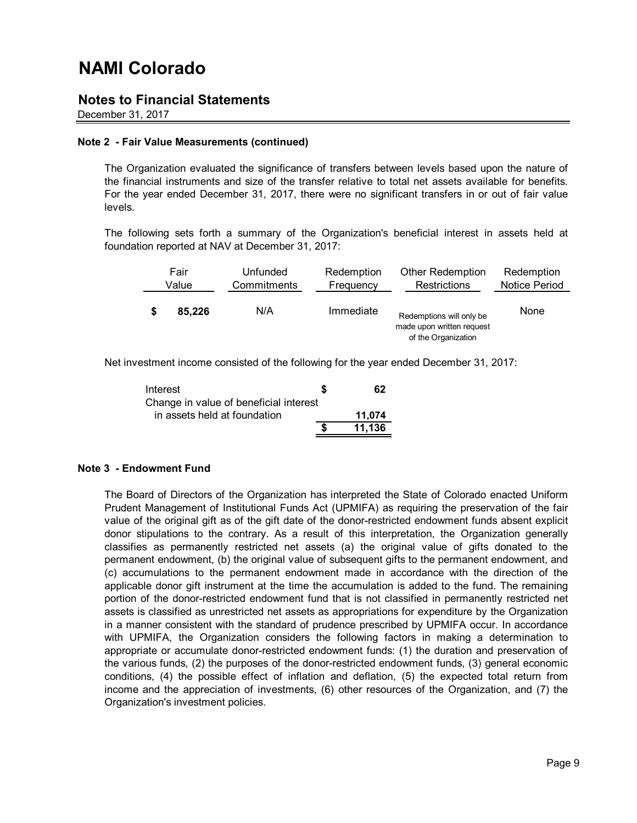## **Notes to Financial Statements**

December 31, 2017

#### **Note 2 - Fair Value Measurements (continued)**

The Organization evaluated the significance of transfers between levels based upon the nature of the financial instruments and size of the transfer relative to total net assets available for benefits. For the year ended December 31, 2017, there were no significant transfers in or out of fair value levels.

The following sets forth a summary of the Organization's beneficial interest in assets held at foundation reported at NAV at December 31, 2017:

| Fair         | Unfunded    | Redemption | <b>Other Redemption</b>                                                      | Redemption           |
|--------------|-------------|------------|------------------------------------------------------------------------------|----------------------|
| Value        | Commitments | Frequency  | Restrictions                                                                 | <b>Notice Period</b> |
| \$<br>85,226 | N/A         | Immediate  | Redemptions will only be<br>made upon written request<br>of the Organization |                      |

Net investment income consisted of the following for the year ended December 31, 2017:

| Interest                               | 62     |
|----------------------------------------|--------|
| Change in value of beneficial interest |        |
| in assets held at foundation           | 11.074 |
|                                        | 11,136 |

#### **Note 3 - Endowment Fund**

The Board of Directors of the Organization has interpreted the State of Colorado enacted Uniform Prudent Management of Institutional Funds Act (UPMIFA) as requiring the preservation of the fair value of the original gift as of the gift date of the donor-restricted endowment funds absent explicit donor stipulations to the contrary. As a result of this interpretation, the Organization generally classifies as permanently restricted net assets (a) the original value of gifts donated to the permanent endowment, (b) the original value of subsequent gifts to the permanent endowment, and (c) accumulations to the permanent endowment made in accordance with the direction of the applicable donor gift instrument at the time the accumulation is added to the fund. The remaining portion of the donor-restricted endowment fund that is not classified in permanently restricted net assets is classified as unrestricted net assets as appropriations for expenditure by the Organization in a manner consistent with the standard of prudence prescribed by UPMIFA occur. In accordance with UPMIFA, the Organization considers the following factors in making a determination to appropriate or accumulate donor-restricted endowment funds: (1) the duration and preservation of the various funds, (2) the purposes of the donor-restricted endowment funds, (3) general economic conditions, (4) the possible effect of inflation and deflation, (5) the expected total return from income and the appreciation of investments, (6) other resources of the Organization, and (7) the Organization's investment policies.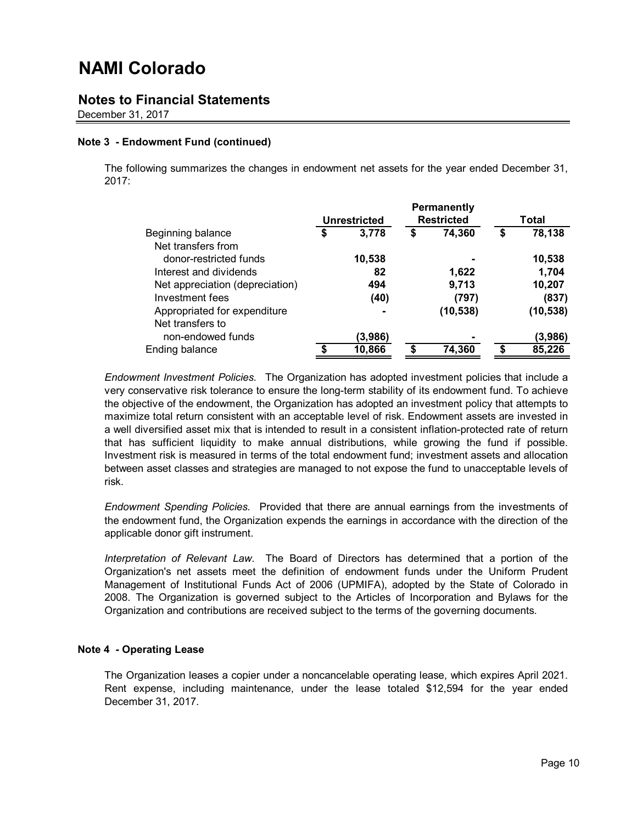### **Notes to Financial Statements**

December 31, 2017

### **Note 3 - Endowment Fund (continued)**

The following summarizes the changes in endowment net assets for the year ended December 31, 2017:

|                                 |              | <b>Permanently</b> |   |           |
|---------------------------------|--------------|--------------------|---|-----------|
|                                 | Unrestricted | <b>Restricted</b>  |   | Total     |
| Beginning balance               | \$<br>3,778  | \$<br>74,360       | S | 78,138    |
| Net transfers from              |              |                    |   |           |
| donor-restricted funds          | 10,538       |                    |   | 10,538    |
| Interest and dividends          | 82           | 1,622              |   | 1,704     |
| Net appreciation (depreciation) | 494          | 9,713              |   | 10,207    |
| Investment fees                 | (40)         | (797)              |   | (837)     |
| Appropriated for expenditure    |              | (10, 538)          |   | (10, 538) |
| Net transfers to                |              |                    |   |           |
| non-endowed funds               | (3,986)      |                    |   | (3,986)   |
| Ending balance                  | 10,866       | 74,360             |   | 85,226    |

*Endowment Investment Policies.* The Organization has adopted investment policies that include a very conservative risk tolerance to ensure the long-term stability of its endowment fund. To achieve the objective of the endowment, the Organization has adopted an investment policy that attempts to maximize total return consistent with an acceptable level of risk. Endowment assets are invested in a well diversified asset mix that is intended to result in a consistent inflation-protected rate of return that has sufficient liquidity to make annual distributions, while growing the fund if possible. Investment risk is measured in terms of the total endowment fund; investment assets and allocation between asset classes and strategies are managed to not expose the fund to unacceptable levels of risk.

*Endowment Spending Policies.* Provided that there are annual earnings from the investments of the endowment fund, the Organization expends the earnings in accordance with the direction of the applicable donor gift instrument.

*Interpretation of Relevant Law.* The Board of Directors has determined that a portion of the Organization's net assets meet the definition of endowment funds under the Uniform Prudent Management of Institutional Funds Act of 2006 (UPMIFA), adopted by the State of Colorado in 2008. The Organization is governed subject to the Articles of Incorporation and Bylaws for the Organization and contributions are received subject to the terms of the governing documents.

#### **Note 4 - Operating Lease**

The Organization leases a copier under a noncancelable operating lease, which expires April 2021. Rent expense, including maintenance, under the lease totaled \$12,594 for the year ended December 31, 2017.